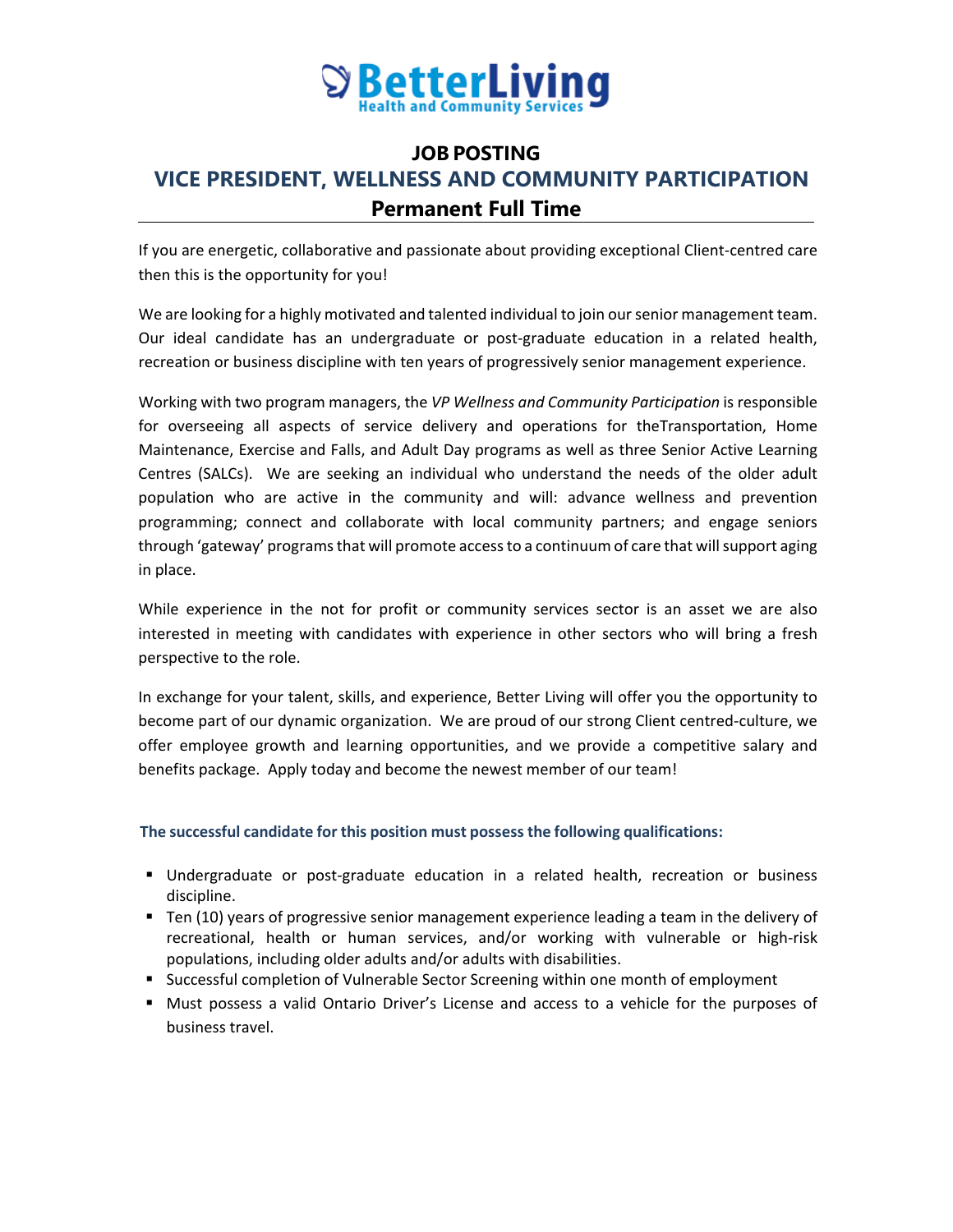

# **JOB POSTING VICE PRESIDENT, WELLNESS AND COMMUNITY PARTICIPATION Permanent Full Time**

If you are energetic, collaborative and passionate about providing exceptional Client-centred care then this is the opportunity for you!

We are looking for a highly motivated and talented individual to join our senior management team. Our ideal candidate has an undergraduate or post-graduate education in a related health, recreation or business discipline with ten years of progressively senior management experience.

Working with two program managers, the *VP Wellness and Community Participation* is responsible for overseeing all aspects of service delivery and operations for theTransportation, Home Maintenance, Exercise and Falls, and Adult Day programs as well as three Senior Active Learning Centres (SALCs). We are seeking an individual who understand the needs of the older adult population who are active in the community and will: advance wellness and prevention programming; connect and collaborate with local community partners; and engage seniors through 'gateway' programs that will promote access to a continuum of care that will support aging in place.

While experience in the not for profit or community services sector is an asset we are also interested in meeting with candidates with experience in other sectors who will bring a fresh perspective to the role.

In exchange for your talent, skills, and experience, Better Living will offer you the opportunity to become part of our dynamic organization. We are proud of our strong Client centred-culture, we offer employee growth and learning opportunities, and we provide a competitive salary and benefits package. Apply today and become the newest member of our team!

# **The successful candidate for this position must possess the following qualifications:**

- Undergraduate or post-graduate education in a related health, recreation or business discipline.
- Ten (10) years of progressive senior management experience leading a team in the delivery of recreational, health or human services, and/or working with vulnerable or high-risk populations, including older adults and/or adults with disabilities.
- **Successful completion of Vulnerable Sector Screening within one month of employment**
- Must possess a valid Ontario Driver's License and access to a vehicle for the purposes of business travel.